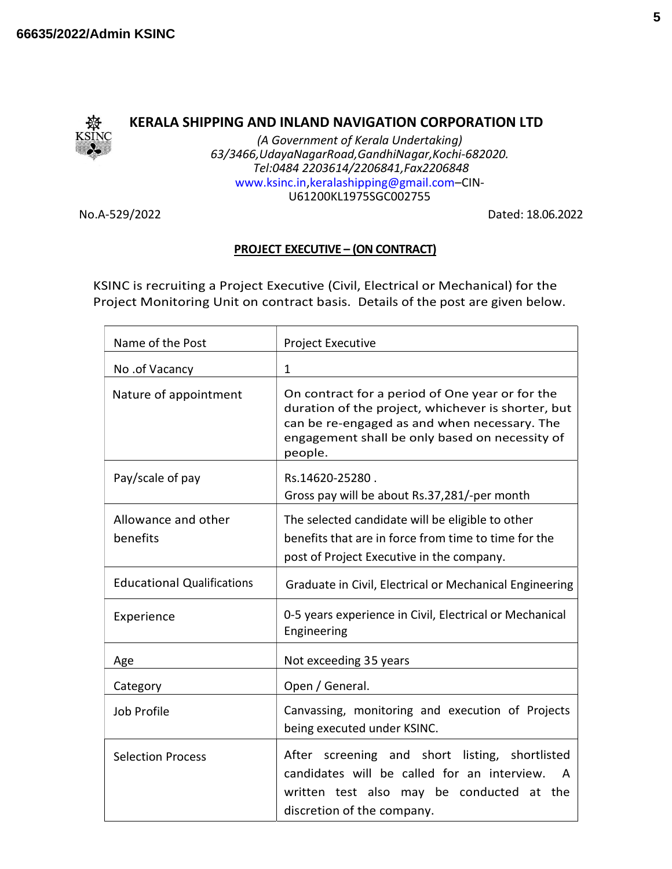

## KERALA SHIPPING AND INLAND NAVIGATION CORPORATION LTD

(A Government of Kerala Undertaking) 63/3466,UdayaNagarRoad,GandhiNagar,Kochi-682020. Tel:0484 2203614/2206841,Fax2206848 www.ksinc.in,keralashipping@gmail.com–CIN-U61200KL1975SGC002755

No.A-529/2022 Dated: 18.06.2022

## PROJECT EXECUTIVE – (ON CONTRACT)

KSINC is recruiting a Project Executive (Civil, Electrical or Mechanical) for the Project Monitoring Unit on contract basis. Details of the post are given below.

| Name of the Post                  | <b>Project Executive</b>                                                                                                                                                                                           |
|-----------------------------------|--------------------------------------------------------------------------------------------------------------------------------------------------------------------------------------------------------------------|
| No .of Vacancy                    | $\mathbf{1}$                                                                                                                                                                                                       |
| Nature of appointment             | On contract for a period of One year or for the<br>duration of the project, whichever is shorter, but<br>can be re-engaged as and when necessary. The<br>engagement shall be only based on necessity of<br>people. |
| Pay/scale of pay                  | Rs.14620-25280.<br>Gross pay will be about Rs.37,281/-per month                                                                                                                                                    |
| Allowance and other<br>benefits   | The selected candidate will be eligible to other<br>benefits that are in force from time to time for the<br>post of Project Executive in the company.                                                              |
| <b>Educational Qualifications</b> | Graduate in Civil, Electrical or Mechanical Engineering                                                                                                                                                            |
| Experience                        | 0-5 years experience in Civil, Electrical or Mechanical<br>Engineering                                                                                                                                             |
| Age                               | Not exceeding 35 years                                                                                                                                                                                             |
| Category                          | Open / General.                                                                                                                                                                                                    |
| Job Profile                       | Canvassing, monitoring and execution of Projects<br>being executed under KSINC.                                                                                                                                    |
| <b>Selection Process</b>          | After screening and short listing, shortlisted<br>candidates will be called for an interview.<br>A<br>written test also may be conducted at the<br>discretion of the company.                                      |